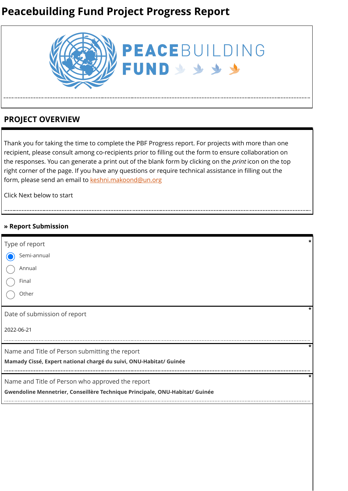# **Peacebuilding Fund Project Progress Report**



## **PROJECT OVERVIEW**

Thank you for taking the time to complete the PBF Progress report. For projects with more than one recipient, please consult among co-recipients prior to filling out the form to ensure collaboration on the responses. You can generate a print out of the blank form by clicking on the *print* icon on the top right corner of the page. If you have any questions or require technical assistance in filling out the form, please send an email to [keshni.makoond@un.org](https://ee.kobotoolbox.org/edit/keshni.makoond@un.org)

Click Next below to start

### **» Report Submission**

| Type of report                                                                                                                   | ÷ |
|----------------------------------------------------------------------------------------------------------------------------------|---|
| Semi-annual                                                                                                                      |   |
| Annual                                                                                                                           |   |
| Final                                                                                                                            |   |
| Other                                                                                                                            |   |
| Date of submission of report                                                                                                     |   |
| 2022-06-21                                                                                                                       |   |
| Name and Title of Person submitting the report<br>Mamady Cissé, Expert national chargé du suivi, ONU-Habitat/ Guinée             | × |
| Name and Title of Person who approved the report<br>Gwendoline Mennetrier, Conseillère Technique Principale, ONU-Habitat/ Guinée |   |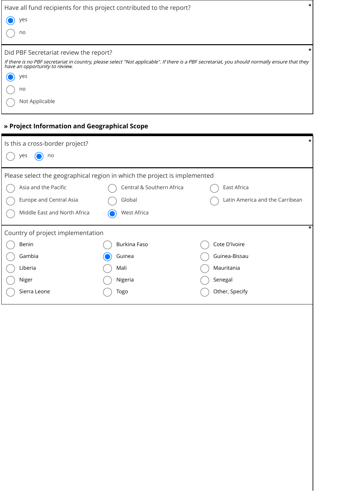| Have all fund recipients for this project contributed to the report?                                                                                                             |  |
|----------------------------------------------------------------------------------------------------------------------------------------------------------------------------------|--|
| yes                                                                                                                                                                              |  |
| no                                                                                                                                                                               |  |
| Did PBF Secretariat review the report?                                                                                                                                           |  |
| If there is no PBF secretariat in country, please select "Not applicable". If there is a PBF secretariat, you should normally ensure that they<br>have an opportunity to review. |  |
| yes                                                                                                                                                                              |  |
| no                                                                                                                                                                               |  |
| Not Applicable                                                                                                                                                                   |  |

## **» Project Information and Geographical Scope**

| $\star$<br>Is this a cross-border project?                                |                           |                                 |  |  |  |  |  |
|---------------------------------------------------------------------------|---------------------------|---------------------------------|--|--|--|--|--|
| yes<br>no                                                                 |                           |                                 |  |  |  |  |  |
| Please select the geographical region in which the project is implemented |                           |                                 |  |  |  |  |  |
| Asia and the Pacific                                                      | Central & Southern Africa | East Africa                     |  |  |  |  |  |
| Europe and Central Asia                                                   | Global                    | Latin America and the Carribean |  |  |  |  |  |
| Middle East and North Africa                                              | West Africa               |                                 |  |  |  |  |  |
| Country of project implementation                                         |                           | *                               |  |  |  |  |  |
| Benin                                                                     | Burkina Faso              | Cote D'Ivoire                   |  |  |  |  |  |
| Gambia                                                                    | Guinea                    | Guinea-Bissau                   |  |  |  |  |  |
| Liberia                                                                   | Mali                      | Mauritania                      |  |  |  |  |  |
| Niger                                                                     | Nigeria                   | Senegal                         |  |  |  |  |  |
| Sierra Leone                                                              | Togo                      | Other, Specify                  |  |  |  |  |  |
|                                                                           |                           |                                 |  |  |  |  |  |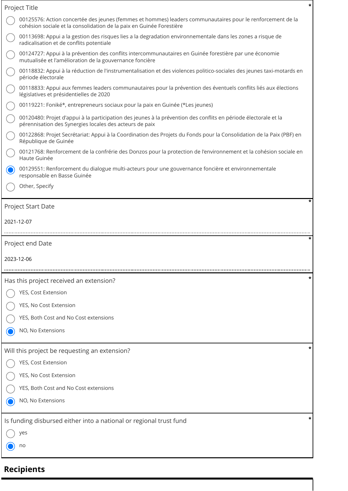| *<br>Project Title                                                                                                                                                                 |  |  |  |  |  |  |  |
|------------------------------------------------------------------------------------------------------------------------------------------------------------------------------------|--|--|--|--|--|--|--|
| 00125576: Action concertée des jeunes (femmes et hommes) leaders communautaires pour le renforcement de la<br>cohésion sociale et la consolidation de la paix en Guinée Forestière |  |  |  |  |  |  |  |
| 00113698: Appui a la gestion des risques lies a la degradation environnementale dans les zones a risque de<br>radicalisation et de conflits potentiale                             |  |  |  |  |  |  |  |
| 00124727: Appui à la prévention des conflits intercommunautaires en Guinée forestière par une économie<br>mutualisée et l'amélioration de la gouvernance foncière                  |  |  |  |  |  |  |  |
| 00118832: Appui à la réduction de l'instrumentalisation et des violences politico-sociales des jeunes taxi-motards en<br>période électorale                                        |  |  |  |  |  |  |  |
| 00118833: Appui aux femmes leaders communautaires pour la prévention des éventuels conflits liés aux élections<br>législatives et présidentielles de 2020                          |  |  |  |  |  |  |  |
| 00119221: Foniké*, entrepreneurs sociaux pour la paix en Guinée (*Les jeunes)                                                                                                      |  |  |  |  |  |  |  |
| 00120480: Projet d'appui à la participation des jeunes à la prévention des conflits en période électorale et la<br>pérennisation des Synergies locales des acteurs de paix         |  |  |  |  |  |  |  |
| 00122868: Projet Secrétariat: Appui à la Coordination des Projets du Fonds pour la Consolidation de la Paix (PBF) en<br>République de Guinée                                       |  |  |  |  |  |  |  |
| 00121768: Renforcement de la confrérie des Donzos pour la protection de l'environnement et la cohésion sociale en<br>Haute Guinée                                                  |  |  |  |  |  |  |  |
| 00129551: Renforcement du dialogue multi-acteurs pour une gouvernance foncière et environnementale<br>responsable en Basse Guinée                                                  |  |  |  |  |  |  |  |
| Other, Specify                                                                                                                                                                     |  |  |  |  |  |  |  |
| Project Start Date                                                                                                                                                                 |  |  |  |  |  |  |  |
| 2021-12-07                                                                                                                                                                         |  |  |  |  |  |  |  |
|                                                                                                                                                                                    |  |  |  |  |  |  |  |
|                                                                                                                                                                                    |  |  |  |  |  |  |  |
| Project end Date                                                                                                                                                                   |  |  |  |  |  |  |  |
| 2023-12-06                                                                                                                                                                         |  |  |  |  |  |  |  |
| Has this project received an extension?                                                                                                                                            |  |  |  |  |  |  |  |
| YES, Cost Extension                                                                                                                                                                |  |  |  |  |  |  |  |
| YES, No Cost Extension                                                                                                                                                             |  |  |  |  |  |  |  |
| YES, Both Cost and No Cost extensions                                                                                                                                              |  |  |  |  |  |  |  |
| NO, No Extensions                                                                                                                                                                  |  |  |  |  |  |  |  |
| Will this project be requesting an extension?                                                                                                                                      |  |  |  |  |  |  |  |
| YES, Cost Extension                                                                                                                                                                |  |  |  |  |  |  |  |
| YES, No Cost Extension                                                                                                                                                             |  |  |  |  |  |  |  |
| YES, Both Cost and No Cost extensions                                                                                                                                              |  |  |  |  |  |  |  |
| NO, No Extensions                                                                                                                                                                  |  |  |  |  |  |  |  |
| Is funding disbursed either into a national or regional trust fund                                                                                                                 |  |  |  |  |  |  |  |
| yes                                                                                                                                                                                |  |  |  |  |  |  |  |
| no                                                                                                                                                                                 |  |  |  |  |  |  |  |

# **Recipients**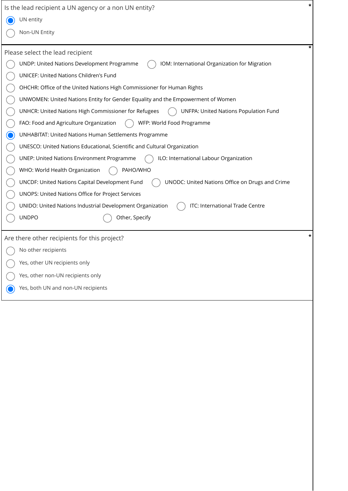| Is the lead recipient a UN agency or a non UN entity?                                             |  |
|---------------------------------------------------------------------------------------------------|--|
| UN entity                                                                                         |  |
| Non-UN Entity                                                                                     |  |
| Please select the lead recipient                                                                  |  |
| UNDP: United Nations Development Programme<br>IOM: International Organization for Migration       |  |
| UNICEF: United Nations Children's Fund                                                            |  |
| OHCHR: Office of the United Nations High Commissioner for Human Rights                            |  |
| UNWOMEN: United Nations Entity for Gender Equality and the Empowerment of Women                   |  |
| UNHCR: United Nations High Commissioner for Refugees<br>UNFPA: United Nations Population Fund     |  |
| FAO: Food and Agriculture Organization<br>WFP: World Food Programme                               |  |
| UNHABITAT: United Nations Human Settlements Programme                                             |  |
| UNESCO: United Nations Educational, Scientific and Cultural Organization                          |  |
| <b>UNEP: United Nations Environment Programme</b><br>ILO: International Labour Organization       |  |
| WHO: World Health Organization<br>PAHO/WHO                                                        |  |
| UNCDF: United Nations Capital Development Fund<br>UNODC: United Nations Office on Drugs and Crime |  |
| UNOPS: United Nations Office for Project Services                                                 |  |
| ITC: International Trade Centre<br>UNIDO: United Nations Industrial Development Organization      |  |
| <b>UNDPO</b><br>Other, Specify                                                                    |  |
| Are there other recipients for this project?                                                      |  |
| No other recipients                                                                               |  |
| Yes, other UN recipients only                                                                     |  |
| Yes, other non-UN recipients only                                                                 |  |
| Yes, both UN and non-UN recipients                                                                |  |
|                                                                                                   |  |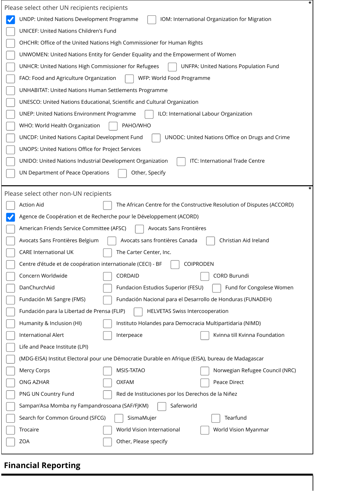| Please select other UN recipients recipients                                                      | * |
|---------------------------------------------------------------------------------------------------|---|
| UNDP: United Nations Development Programme<br>IOM: International Organization for Migration       |   |
| <b>UNICEF: United Nations Children's Fund</b>                                                     |   |
| OHCHR: Office of the United Nations High Commissioner for Human Rights                            |   |
| UNWOMEN: United Nations Entity for Gender Equality and the Empowerment of Women                   |   |
| UNHCR: United Nations High Commissioner for Refugees<br>UNFPA: United Nations Population Fund     |   |
| FAO: Food and Agriculture Organization<br>WFP: World Food Programme                               |   |
| <b>UNHABITAT: United Nations Human Settlements Programme</b>                                      |   |
| UNESCO: United Nations Educational, Scientific and Cultural Organization                          |   |
| <b>UNEP: United Nations Environment Programme</b><br>ILO: International Labour Organization       |   |
| PAHO/WHO<br>WHO: World Health Organization                                                        |   |
| UNCDF: United Nations Capital Development Fund<br>UNODC: United Nations Office on Drugs and Crime |   |
| UNOPS: United Nations Office for Project Services                                                 |   |
| ITC: International Trade Centre<br>UNIDO: United Nations Industrial Development Organization      |   |
| UN Department of Peace Operations<br>Other, Specify                                               |   |
|                                                                                                   |   |
| Please select other non-UN recipients                                                             |   |
| <b>Action Aid</b><br>The African Centre for the Constructive Resolution of Disputes (ACCORD)      |   |
| Agence de Coopération et de Recherche pour le Développement (ACORD)                               |   |
| American Friends Service Committee (AFSC)<br>Avocats Sans Frontières                              |   |
| Christian Aid Ireland<br>Avocats sans frontières Canada<br>Avocats Sans Frontières Belgium        |   |
| <b>CARE International UK</b><br>The Carter Center, Inc.                                           |   |
| Centre d'étude et de coopération internationale (CECI) - BF<br><b>COIPRODEN</b>                   |   |
| CORDAID<br>Concern Worldwide<br>CORD Burundi                                                      |   |
| DanChurchAid<br>Fund for Congolese Women<br>Fundacion Estudios Superior (FESU)                    |   |
| Fundación Nacional para el Desarrollo de Honduras (FUNADEH)<br>Fundación Mi Sangre (FMS)          |   |
| Fundación para la Libertad de Prensa (FLIP)<br><b>HELVETAS Swiss Intercooperation</b>             |   |
| Instituto Holandes para Democracia Multipartidaria (NIMD)<br>Humanity & Inclusion (HI)            |   |
| International Alert<br>Kvinna till Kvinna Foundation<br>Interpeace                                |   |
| Life and Peace Institute (LPI)                                                                    |   |
| (MDG-EISA) Institut Electoral pour une Démocratie Durable en Afrique (EISA), bureau de Madagascar |   |
| MSIS-TATAO<br>Norwegian Refugee Council (NRC)<br>Mercy Corps                                      |   |
| ONG AZHAR<br><b>OXFAM</b><br>Peace Direct                                                         |   |
| PNG UN Country Fund<br>Red de Instituciones por los Derechos de la Niñez                          |   |
| Saferworld<br>Sampan'Asa Momba ny Fampandrosoana (SAF/FJKM)                                       |   |
| Tearfund<br>Search for Common Ground (SFCG)<br>SismaMujer                                         |   |
| Trocaire<br>World Vision International<br>World Vision Myanmar                                    |   |
| Other, Please specify<br>ZOA                                                                      |   |
|                                                                                                   |   |

# **Financial Reporting**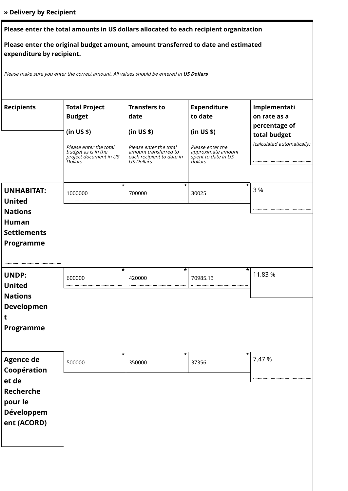## **» Delivery by Recipient**

| Please enter the total amounts in US dollars allocated to each recipient organization                          |                                                                                                                                                  |                                                                                                                                         |                                                                                                                         |                                                                                             |  |  |  |  |
|----------------------------------------------------------------------------------------------------------------|--------------------------------------------------------------------------------------------------------------------------------------------------|-----------------------------------------------------------------------------------------------------------------------------------------|-------------------------------------------------------------------------------------------------------------------------|---------------------------------------------------------------------------------------------|--|--|--|--|
| Please enter the original budget amount, amount transferred to date and estimated<br>expenditure by recipient. |                                                                                                                                                  |                                                                                                                                         |                                                                                                                         |                                                                                             |  |  |  |  |
|                                                                                                                | Please make sure you enter the correct amount. All values should be entered in US Dollars                                                        |                                                                                                                                         |                                                                                                                         |                                                                                             |  |  |  |  |
| <b>Recipients</b>                                                                                              | <b>Total Project</b><br><b>Budget</b><br>(in US \$)<br>Please enter the total<br>budget as is in the<br>project document in US<br><i>Dollars</i> | <b>Transfers to</b><br>date<br>(in US \$)<br>Please enter the total<br>amount transferred to<br>each recipient to date in<br>US Dollars | <b>Expenditure</b><br>to date<br>(in US \$)<br>Please enter the<br>approximate amount<br>spent to date in US<br>dollars | Implementati<br>on rate as a<br>percentage of<br>total budget<br>(calculated automatically) |  |  |  |  |
| <b>UNHABITAT:</b><br><b>United</b><br><b>Nations</b><br><b>Human</b><br><b>Settlements</b><br><b>Programme</b> | *<br>1000000                                                                                                                                     | *<br>700000                                                                                                                             | 30025                                                                                                                   | 3 %                                                                                         |  |  |  |  |
| <b>UNDP:</b><br><b>United</b><br><b>Nations</b><br><b>Developmen</b><br>τ<br>Programme                         | *<br>600000                                                                                                                                      | *<br>420000                                                                                                                             | *<br>70985.13                                                                                                           | 11.83 %                                                                                     |  |  |  |  |
| <b>Agence de</b><br>Coopération<br>et de<br>Recherche<br>pour le<br>Développem<br>ent (ACORD)                  | *<br>500000                                                                                                                                      | *<br>350000                                                                                                                             | *<br>37356                                                                                                              | 7.47 %                                                                                      |  |  |  |  |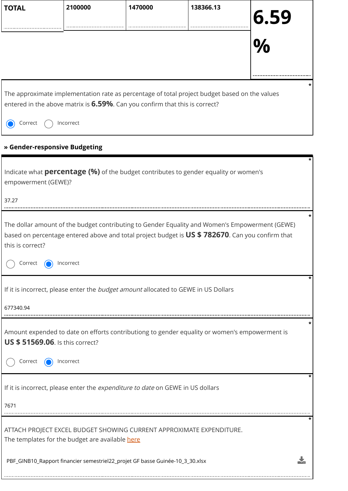| <b>TOTAL</b>                                                                                                                                                                                                                                   | 2100000                                         | 1470000                                                                                       | 138366.13 |                  |  |  |  |  |
|------------------------------------------------------------------------------------------------------------------------------------------------------------------------------------------------------------------------------------------------|-------------------------------------------------|-----------------------------------------------------------------------------------------------|-----------|------------------|--|--|--|--|
|                                                                                                                                                                                                                                                |                                                 |                                                                                               |           | <b>6.59</b><br>% |  |  |  |  |
| The approximate implementation rate as percentage of total project budget based on the values<br>entered in the above matrix is 6.59%. Can you confirm that this is correct?                                                                   |                                                 |                                                                                               |           |                  |  |  |  |  |
| Correct                                                                                                                                                                                                                                        | Incorrect                                       |                                                                                               |           |                  |  |  |  |  |
| » Gender-responsive Budgeting                                                                                                                                                                                                                  |                                                 |                                                                                               |           |                  |  |  |  |  |
| empowerment (GEWE)?                                                                                                                                                                                                                            |                                                 | Indicate what <b>percentage (%)</b> of the budget contributes to gender equality or women's   |           |                  |  |  |  |  |
| 37.27                                                                                                                                                                                                                                          |                                                 |                                                                                               |           |                  |  |  |  |  |
| The dollar amount of the budget contributing to Gender Equality and Women's Empowerment (GEWE)<br>based on percentage entered above and total project budget is US \$782670. Can you confirm that<br>this is correct?<br>Correct net Incorrect |                                                 |                                                                                               |           |                  |  |  |  |  |
| 677340.94                                                                                                                                                                                                                                      |                                                 | If it is incorrect, please enter the budget amount allocated to GEWE in US Dollars            |           |                  |  |  |  |  |
| <b>US \$ 51569.06.</b> Is this correct?                                                                                                                                                                                                        |                                                 | Amount expended to date on efforts contributiong to gender equality or women's empowerment is |           |                  |  |  |  |  |
| Correct                                                                                                                                                                                                                                        | Incorrect                                       |                                                                                               |           |                  |  |  |  |  |
|                                                                                                                                                                                                                                                |                                                 | If it is incorrect, please enter the expenditure to date on GEWE in US dollars                |           |                  |  |  |  |  |
| 7671                                                                                                                                                                                                                                           |                                                 |                                                                                               |           |                  |  |  |  |  |
|                                                                                                                                                                                                                                                | The templates for the budget are available here | ATTACH PROJECT EXCEL BUDGET SHOWING CURRENT APPROXIMATE EXPENDITURE.                          |           |                  |  |  |  |  |
|                                                                                                                                                                                                                                                |                                                 | PBF_GINB10_Rapport financier semestriel22_projet GF basse Guinée-10_3_30.xlsx                 |           |                  |  |  |  |  |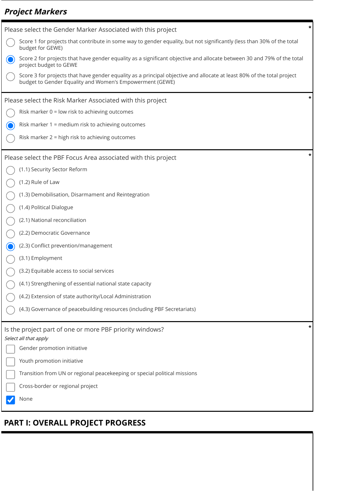# **Project Markers**

| Please select the Gender Marker Associated with this project                                                                                                                       |   |
|------------------------------------------------------------------------------------------------------------------------------------------------------------------------------------|---|
| Score 1 for projects that contribute in some way to gender equality, but not significantly (less than 30% of the total<br>budget for GEWE)                                         |   |
| Score 2 for projects that have gender equality as a significant objective and allocate between 30 and 79% of the total<br>project budget to GEWE                                   |   |
| Score 3 for projects that have gender equality as a principal objective and allocate at least 80% of the total project<br>budget to Gender Equality and Women's Empowerment (GEWE) |   |
| Please select the Risk Marker Associated with this project                                                                                                                         |   |
| Risk marker 0 = low risk to achieving outcomes                                                                                                                                     |   |
| Risk marker 1 = medium risk to achieving outcomes                                                                                                                                  |   |
| Risk marker 2 = high risk to achieving outcomes                                                                                                                                    |   |
| Please select the PBF Focus Area associated with this project                                                                                                                      |   |
| (1.1) Security Sector Reform                                                                                                                                                       |   |
| (1.2) Rule of Law                                                                                                                                                                  |   |
| (1.3) Demobilisation, Disarmament and Reintegration                                                                                                                                |   |
| (1.4) Political Dialogue                                                                                                                                                           |   |
| (2.1) National reconciliation                                                                                                                                                      |   |
| (2.2) Democratic Governance                                                                                                                                                        |   |
| (2.3) Conflict prevention/management                                                                                                                                               |   |
| (3.1) Employment                                                                                                                                                                   |   |
| (3.2) Equitable access to social services                                                                                                                                          |   |
| (4.1) Strengthening of essential national state capacity                                                                                                                           |   |
| (4.2) Extension of state authority/Local Administration                                                                                                                            |   |
| (4.3) Governance of peacebuilding resources (including PBF Secretariats)                                                                                                           |   |
| Is the project part of one or more PBF priority windows?<br>Select all that apply                                                                                                  | ÷ |
| Gender promotion initiative                                                                                                                                                        |   |
| Youth promotion initiative                                                                                                                                                         |   |
| Transition from UN or regional peacekeeping or special political missions                                                                                                          |   |
| Cross-border or regional project                                                                                                                                                   |   |
| None                                                                                                                                                                               |   |

# **PART I: OVERALL PROJECT PROGRESS**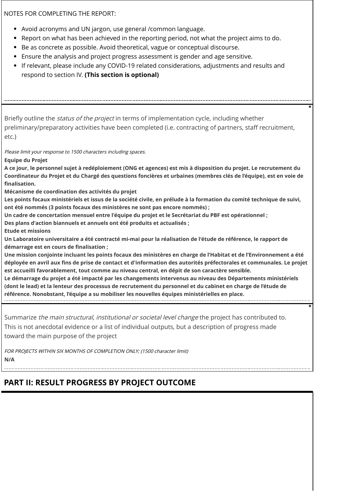NOTES FOR COMPLETING THE REPORT:

- Avoid acronyms and UN jargon, use general /common language.
- Report on what has been achieved in the reporting period, not what the project aims to do.
- Be as concrete as possible. Avoid theoretical, vague or conceptual discourse.
- Ensure the analysis and project progress assessment is gender and age sensitive.
- If relevant, please include any COVID-19 related considerations, adjustments and results and respond to section IV. **(This section is optional)**

Briefly outline the *status of the project* in terms of implementation cycle, including whether preliminary/preparatory activities have been completed (i.e. contracting of partners, staff recruitment, etc.)

**\***

**\***

Please limit your response to 1500 characters including spaces.

**Equipe du Projet**

**A ce jour, le personnel sujet à redéploiement (ONG et agences) est mis à disposition du projet. Le recrutement du Coordinateur du Projet et du Chargé des questions foncières et urbaines (membres clés de l'équipe), est en voie de finalisation.**

**Mécanisme de coordination des activités du projet**

**Les points focaux ministériels et issus de la société civile, en prélude à la formation du comité technique de suivi, ont été nommés (3 points focaux des ministères ne sont pas encore nommés) ;** 

**Un cadre de concertation mensuel entre l'équipe du projet et le Secrétariat du PBF est opérationnel ;** 

**Des plans d'action biannuels et annuels ont été produits et actualisés ;**

**Etude et missions**

**Un Laboratoire universitaire a été contracté mi-mai pour la réalisation de l'étude de référence, le rapport de démarrage est en cours de finalisation ;**

**Une mission conjointe incluant les points focaux des ministères en charge de l'Habitat et de l'Environnement a été déployée en avril aux fins de prise de contact et d'information des autorités préfectorales et communales. Le projet est accueilli favorablement, tout comme au niveau central, en dépit de son caractère sensible.**

**Le démarrage du projet a été impacté par les changements intervenus au niveau des Départements ministériels (dont le lead) et la lenteur des processus de recrutement du personnel et du cabinet en charge de l'étude de référence. Nonobstant, l'équipe a su mobiliser les nouvelles équipes ministérielles en place.**

Summarize the main structural, institutional or societal level change the project has contributed to. This is not anecdotal evidence or a list of individual outputs, but a description of progress made toward the main purpose of the project

FOR PROJECTS WITHIN SIX MONTHS OF COMPLETION ONLY; (1500 character limit) **N/A**

## **PART II: RESULT PROGRESS BY PROJECT OUTCOME**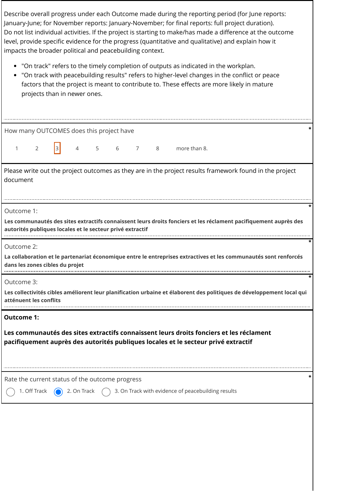Describe overall progress under each Outcome made during the reporting period (for June reports: January-June; for November reports: January-November; for final reports: full project duration). Do not list individual activities. If the project is starting to make/has made a difference at the outcome level, provide specific evidence for the progress (quantitative and qualitative) and explain how it impacts the broader political and peacebuilding context.

- "On track" refers to the timely completion of outputs as indicated in the workplan.
- "On track with peacebuilding results" refers to higher-level changes in the conflict or peace factors that the project is meant to contribute to. These effects are more likely in mature projects than in newer ones.

How many OUTCOMES does this project have **\***

1 2  $3$  4 5 6 7 8 more than 8.

Please write out the project outcomes as they are in the project results framework found in the project document

Outcome 1:

**Les communautés des sites extractifs connaissent leurs droits fonciers et les réclament pacifiquement auprès des autorités publiques locales et le secteur privé extractif**

**\***

**\***

**\***

Outcome 2:

**La collaboration et le partenariat économique entre le entreprises extractives et les communautés sont renforcés dans les zones cibles du projet**

Outcome 3:

**Les collectivités cibles améliorent leur planification urbaine et élaborent des politiques de développement local qui atténuent les conflits**

**Outcome 1:**

**Les communautés des sites extractifs connaissent leurs droits fonciers et les réclament pacifiquement auprès des autorités publiques locales et le secteur privé extractif**

Rate the current status of the outcome progress **\***

1. Off Track  $\bigcirc$  2. On Track  $\bigcirc$  3. On Track with evidence of peacebuilding results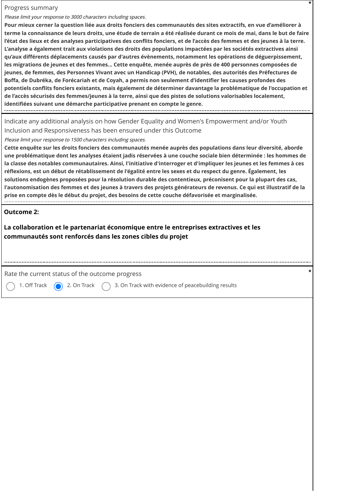#### Progress summary

Please limit your response to 3000 characters including spaces.

**Pour mieux cerner la question liée aux droits fonciers des communautés des sites extractifs, en vue d'améliorer à terme la connaissance de leurs droits, une étude de terrain a été réalisée durant ce mois de mai, dans le but de faire l'état des lieux et des analyses participatives des conflits fonciers, et de l'accès des femmes et des jeunes à la terre. L'analyse a également trait aux violations des droits des populations impactées par les sociétés extractives ainsi qu'aux différents déplacements causés par d'autres évènements, notamment les opérations de déguerpissement, les migrations de jeunes et des femmes... Cette enquête, menée auprès de près de 400 personnes composées de jeunes, de femmes, des Personnes Vivant avec un Handicap (PVH), de notables, des autorités des Préfectures de Boffa, de Dubréka, de Forécariah et de Coyah, a permis non seulement d'identifier les causes profondes des potentiels conflits fonciers existants, mais également de déterminer davantage la problématique de l'occupation et de l'accès sécurisés des femmes/jeunes à la terre, ainsi que des pistes de solutions valorisables localement, identifiées suivant une démarche participative prenant en compte le genre.**

**\***

Indicate any additional analysis on how Gender Equality and Women's Empowerment and/or Youth Inclusion and Responsiveness has been ensured under this Outcome

Please limit your response to 1500 characters including spaces.

**Cette enquête sur les droits fonciers des communautés menée auprès des populations dans leur diversité, aborde une problématique dont les analyses étaient jadis réservées à une couche sociale bien déterminée : les hommes de la classe des notables communautaires. Ainsi, l'initiative d'interroger et d'impliquer les jeunes et les femmes à ces réflexions, est un début de rétablissement de l'égalité entre les sexes et du respect du genre. Également, les solutions endogènes proposées pour la résolution durable des contentieux, préconisent pour la plupart des cas, l'autonomisation des femmes et des jeunes à travers des projets générateurs de revenus. Ce qui est illustratif de la prise en compte dès le début du projet, des besoins de cette couche défavorisée et marginalisée.**

### **Outcome 2:**

**La collaboration et le partenariat économique entre le entreprises extractives et les communautés sont renforcés dans les zones cibles du projet**

Rate the current status of the outcome progress **\***

1. Off Track  $\bigcirc$  2. On Track  $\bigcirc$  3. On Track with evidence of peacebuilding results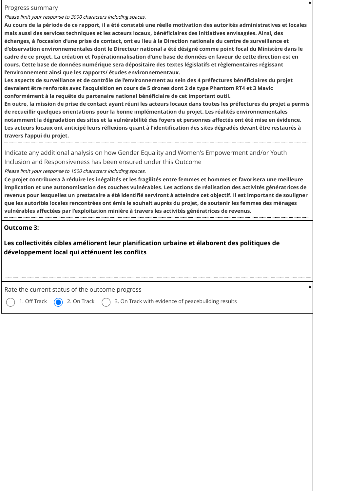#### Progress summary

Please limit your response to 3000 characters including spaces.

**Au cours de la période de ce rapport, il a été constaté une réelle motivation des autorités administratives et locales mais aussi des services techniques et les acteurs locaux, bénéficiaires des initiatives envisagées. Ainsi, des échanges, à l'occasion d'une prise de contact, ont eu lieu à la Direction nationale du centre de surveillance et d'observation environnementales dont le Directeur national a été désigné comme point focal du Ministère dans le cadre de ce projet. La création et l'opérationnalisation d'une base de données en faveur de cette direction est en cours. Cette base de données numérique sera dépositaire des textes législatifs et règlementaires régissant l'environnement ainsi que les rapports/ études environnementaux.**

**\***

**Les aspects de surveillance et de contrôle de l'environnement au sein des 4 préfectures bénéficiaires du projet devraient être renforcés avec l'acquisition en cours de 5 drones dont 2 de type Phantom RT4 et 3 Mavic conformément à la requête du partenaire national bénéficiaire de cet important outil.**

**En outre, la mission de prise de contact ayant réuni les acteurs locaux dans toutes les préfectures du projet a permis de recueillir quelques orientations pour la bonne implémentation du projet. Les réalités environnementales notamment la dégradation des sites et la vulnérabilité des foyers et personnes affectés ont été mise en évidence. Les acteurs locaux ont anticipé leurs réflexions quant à l'identification des sites dégradés devant être restaurés à travers l'appui du projet.**

Indicate any additional analysis on how Gender Equality and Women's Empowerment and/or Youth Inclusion and Responsiveness has been ensured under this Outcome

Please limit your response to 1500 characters including spaces.

**Ce projet contribuera à réduire les inégalités et les fragilités entre femmes et hommes et favorisera une meilleure implication et une autonomisation des couches vulnérables. Les actions de réalisation des activités génératrices de revenus pour lesquelles un prestataire a été identifié serviront à atteindre cet objectif. Il est important de souligner que les autorités locales rencontrées ont émis le souhait auprès du projet, de soutenir les femmes des ménages vulnérables affectées par l'exploitation minière à travers les activités génératrices de revenus.**

### **Outcome 3:**

**Les collectivités cibles améliorent leur planification urbaine et élaborent des politiques de développement local qui atténuent les conflits**

Rate the current status of the outcome progress **\***

1. Off Track  $\bigcirc$  2. On Track  $\bigcirc$  3. On Track with evidence of peacebuilding results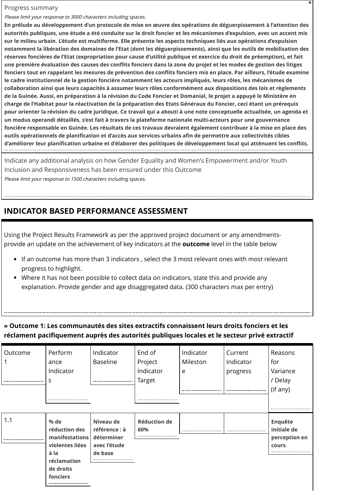#### Progress summary

Please limit your response to 3000 characters including spaces.

**En prélude au développement d'un protocole de mise en œuvre des opérations de déguerpissement à l'attention des autorités publiques, une étude a été conduite sur le droit foncier et les mécanismes d'expulsion, avec un accent mis sur le milieu urbain. L'étude est multiforme. Elle présente les aspects techniques liés aux opérations d'expulsion notamment la libération des domaines de l'Etat (dont les déguerpissements), ainsi que les outils de mobilisation des réserves foncières de l'Etat (expropriation pour cause d'utilité publique et exercice du droit de préemption), et fait une première évaluation des causes des conflits fonciers dans la zone du projet et les modes de gestion des litiges fonciers tout en rappelant les mesures de prévention des conflits fonciers mis en place. Par ailleurs, l'étude examine le cadre institutionnel de la gestion foncière notamment les acteurs impliqués, leurs rôles, les mécanismes de collaboration ainsi que leurs capacités à assumer leurs rôles conformément aux dispositions des lois et règlements de la Guinée. Aussi, en préparation à la révision du Code Foncier et Domanial, le projet a appuyé le Ministère en charge de l'Habitat pour la réactivation de la préparation des Etats Généraux du Foncier, ceci étant un prérequis pour orienter la révision du cadre juridique. Ce travail qui a abouti à une note conceptuelle actualisée, un agenda et un modus operandi détaillés, s'est fait à travers la plateforme nationale multi-acteurs pour une gouvernance foncière responsable en Guinée. Les résultats de ces travaux devraient également contribuer à la mise en place des outils opérationnels de planification et d'accès aux services urbains afin de permettre aux collectivités cibles d'améliorer leur planification urbaine et d'élaborer des politiques de développement local qui atténuent les conflits.**

**\***

Indicate any additional analysis on how Gender Equality and Women's Empowerment and/or Youth Inclusion and Responsiveness has been ensured under this Outcome Please limit your response to 1500 characters including spaces.

## **INDICATOR BASED PERFORMANCE ASSESSMENT**

Using the Project Results Framework as per the approved project document or any amendmentsprovide an update on the achievement of key indicators at the **outcome** level in the table below

- If an outcome has more than 3 indicators , select the 3 most relevant ones with most relevant progress to highlight.
- Where it has not been possible to collect data on indicators, state this and provide any explanation. Provide gender and age disaggregated data. (300 characters max per entry)

## **» Outcome 1: Les communautés des sites extractifs connaissent leurs droits fonciers et les réclament pacifiquement auprès des autorités publiques locales et le secteur privé extractif**

| Outcome | Perform<br>ance<br>Indicator<br>S                                                                             | Indicator<br><b>Baseline</b>             | End of<br>Project<br>Indicator<br>Target | Indicator<br>Mileston<br>e | Current<br>Indicator<br>progress | Reasons<br>for<br>Variance<br>/ Delay<br>(if any) |
|---------|---------------------------------------------------------------------------------------------------------------|------------------------------------------|------------------------------------------|----------------------------|----------------------------------|---------------------------------------------------|
| 1.1     | % de                                                                                                          | Niveau de                                | <b>Réduction de</b>                      |                            |                                  | <b>Enquête</b>                                    |
|         | réduction des<br>manifestations déterminer<br>violentes liées<br>à la<br>réclamation<br>de droits<br>fonciers | référence : à<br>avec l'étude<br>de base | 60%                                      |                            |                                  | initiale de<br>perception en<br>cours             |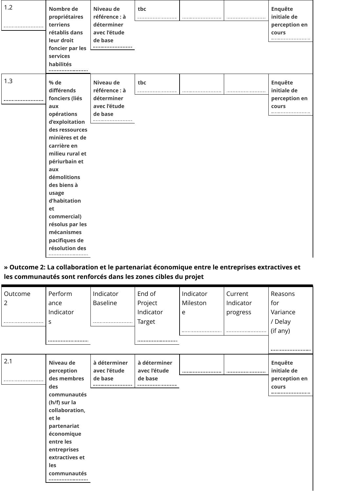| 1.2 | Nombre de<br>propriétaires<br>terriens<br>rétablis dans<br>leur droit<br>foncier par les<br>services<br>habilités                                                                                                                                                                                                         | Niveau de<br>référence : à<br>déterminer<br>avec l'étude<br>de base | tbc |  | <b>Enquête</b><br>initiale de<br>perception en<br>cours     |
|-----|---------------------------------------------------------------------------------------------------------------------------------------------------------------------------------------------------------------------------------------------------------------------------------------------------------------------------|---------------------------------------------------------------------|-----|--|-------------------------------------------------------------|
| 1.3 | % de<br>différends<br>fonciers (liés<br>aux<br>opérations<br>d'exploitation<br>des ressources<br>minières et de<br>carrière en<br>milieu rural et<br>périurbain et<br>aux<br>démolitions<br>des biens à<br>usage<br>d'habitation<br>et<br>commercial)<br>résolus par les<br>mécanismes<br>pacifiques de<br>résolution des | Niveau de<br>référence : à<br>déterminer<br>avec l'étude<br>de base | tbc |  | <b>Enquête</b><br>initiale de<br>perception en<br>cours<br> |

## **» Outcome 2: La collaboration et le partenariat économique entre le entreprises extractives et les communautés sont renforcés dans les zones cibles du projet**

| Outcome<br>$\overline{2}$ | Perform<br>ance<br>Indicator<br>S                                                                                                                                                                        | Indicator<br>Baseline                   | End of<br>Project<br>Indicator<br>Target | Indicator<br>Mileston<br>e | Current<br>Indicator<br>progress | Reasons<br>for<br>Variance<br>/ Delay<br>(if any) |
|---------------------------|----------------------------------------------------------------------------------------------------------------------------------------------------------------------------------------------------------|-----------------------------------------|------------------------------------------|----------------------------|----------------------------------|---------------------------------------------------|
| 2.1                       | Niveau de<br>perception<br>des membres<br>des<br>communautés<br>(h/f) sur la<br>collaboration,<br>et le<br>partenariat<br>économique<br>entre les<br>entreprises<br>extractives et<br>les<br>communautés | à déterminer<br>avec l'étude<br>de base | à déterminer<br>avec l'étude<br>de base  |                            |                                  | Enquête<br>initiale de<br>perception en<br>cours  |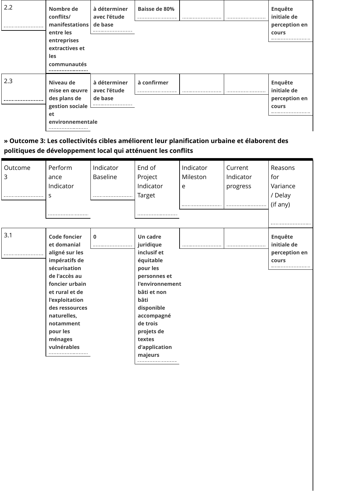| 2.2 | Nombre de<br>conflits/<br>manifestations<br>entre les<br>entreprises<br>extractives et<br>les<br>communautés | à déterminer<br>avec l'étude<br>de base | <b>Baisse de 80%</b> |  | <b>Enquête</b><br>initiale de<br>perception en<br>cours |
|-----|--------------------------------------------------------------------------------------------------------------|-----------------------------------------|----------------------|--|---------------------------------------------------------|
| 2.3 | Niveau de<br>mise en œuvre<br>des plans de<br>gestion sociale<br>et<br>environnementale                      | à déterminer<br>avec l'étude<br>de base | à confirmer          |  | <b>Enquête</b><br>initiale de<br>perception en<br>cours |

**» Outcome 3: Les collectivités cibles améliorent leur planification urbaine et élaborent des politiques de développement local qui atténuent les conflits**

| Outcome<br>3 | Perform<br>ance<br>Indicator<br>S                                                                                                                                                                                                                | Indicator<br><b>Baseline</b> | End of<br>Project<br>Indicator<br>Target                                                                                                                                                                                   | Indicator<br>Mileston<br>e | Current<br>Indicator<br>progress | Reasons<br>for<br>Variance<br>/ Delay<br>(if any)<br>---------------------------------- |
|--------------|--------------------------------------------------------------------------------------------------------------------------------------------------------------------------------------------------------------------------------------------------|------------------------------|----------------------------------------------------------------------------------------------------------------------------------------------------------------------------------------------------------------------------|----------------------------|----------------------------------|-----------------------------------------------------------------------------------------|
| 3.1          | <b>Code foncier</b><br>et domanial<br>aligné sur les<br>impératifs de<br>sécurisation<br>de l'accès au<br>foncier urbain<br>et rural et de<br>l'exploitation<br>des ressources<br>naturelles,<br>notamment<br>pour les<br>ménages<br>vulnérables | $\mathbf 0$                  | <b>Un cadre</b><br>juridique<br>inclusif et<br>équitable<br>pour les<br>personnes et<br>l'environnement<br>bâti et non<br>bâti<br>disponible<br>accompagné<br>de trois<br>projets de<br>textes<br>d'application<br>majeurs |                            |                                  | <b>Enquête</b><br>initiale de<br>perception en<br>cours<br>                             |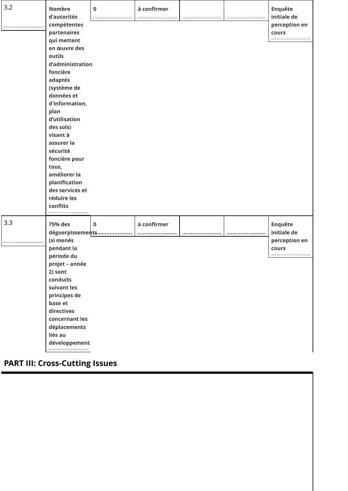| 3.2 | <b>Nombre</b><br>d'autorités<br>compétentes<br>partenaires<br>qui mettent<br>en œuvre des<br>outils<br>d'administration<br>foncière<br>adaptés<br>(système de<br>données et<br>d'information,<br>plan<br>d'utilisation<br>des sols)<br>visant à<br>assurer la<br>sécurité<br>foncière pour<br>tous,<br>améliorer la<br>planification<br>des services et<br>réduire les<br>conflits | $\pmb{0}$   | à confirmer |  | Enquête<br>initiale de<br>perception en<br>cours        |
|-----|------------------------------------------------------------------------------------------------------------------------------------------------------------------------------------------------------------------------------------------------------------------------------------------------------------------------------------------------------------------------------------|-------------|-------------|--|---------------------------------------------------------|
| 3.3 | 75% des<br>déguerpissements<br>(si menés<br>pendant la<br>période du<br>projet - année<br>2) sont<br>conduits<br>suivant les<br>principes de<br>base et<br>directives<br>concernant les<br>déplacements<br>liés au<br>développement                                                                                                                                                | $\mathbf 0$ | à confirmer |  | <b>Enquête</b><br>initiale de<br>perception en<br>cours |

# **PART III: Cross-Cutting Issues**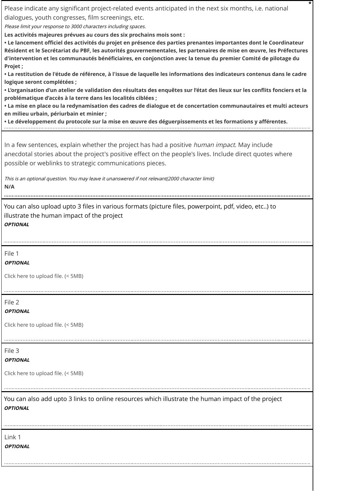Please indicate any significant project-related events anticipated in the next six months, i.e. national dialogues, youth congresses, film screenings, etc.

Please limit your response to 3000 characters including spaces.

**Les activités majeures prévues au cours des six prochains mois sont :** 

**• Le lancement officiel des activités du projet en présence des parties prenantes importantes dont le Coordinateur Résident et le Secrétariat du PBF, les autorités gouvernementales, les partenaires de mise en œuvre, les Préfectures d'intervention et les communautés bénéficiaires, en conjonction avec la tenue du premier Comité de pilotage du Projet ;**

**\***

**• La restitution de l'étude de référence, à l'issue de laquelle les informations des indicateurs contenus dans le cadre logique seront complétées ;** 

**• L'organisation d'un atelier de validation des résultats des enquêtes sur l'état des lieux sur les conflits fonciers et la problématique d'accès à la terre dans les localités ciblées ;** 

**• La mise en place ou la redynamisation des cadres de dialogue et de concertation communautaires et multi acteurs en milieu urbain, périurbain et minier ;**

**• Le développement du protocole sur la mise en œuvre des déguerpissements et les formations y afférentes.**

In a few sentences, explain whether the project has had a positive *human impact*. May include anecdotal stories about the project's positive effect on the people's lives. Include direct quotes where possible or weblinks to strategic communications pieces.

This is an optional question. You may leave it unanswered if not relevant(2000 character limit) **N/A**

You can also upload upto 3 files in various formats (picture files, powerpoint, pdf, video, etc..) to illustrate the human impact of the project **OPTIONAL**

File 1

**OPTIONAL**

Click here to upload file. (< 5MB)

File 2

**OPTIONAL**

Click here to upload file. (< 5MB)

File 3

**OPTIONAL**

Click here to upload file. (< 5MB)

You can also add upto 3 links to online resources which illustrate the human impact of the project **OPTIONAL**

Link 1 **OPTIONAL**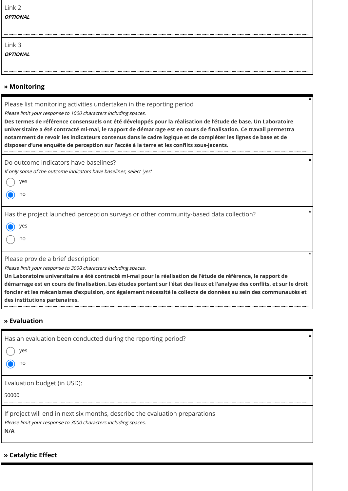| Link 2                 |
|------------------------|
| <i><b>OPTIONAL</b></i> |

| Link 3                 |
|------------------------|
| <i><b>OPTIONAL</b></i> |

### **» Monitoring**

Please list monitoring activities undertaken in the reporting period

Please limit your response to 1000 characters including spaces.

**Des termes de référence consensuels ont été développés pour la réalisation de l'étude de base. Un Laboratoire universitaire a été contracté mi-mai, le rapport de démarrage est en cours de finalisation. Ce travail permettra notamment de revoir les indicateurs contenus dans le cadre logique et de compléter les lignes de base et de disposer d'une enquête de perception sur l'accès à la terre et les conflits sous-jacents.**

**\***

**\***

**\***

Do outcome indicators have baselines?

If only some of the outcome indicators have baselines, select 'yes'

yes

no

Has the project launched perception surveys or other community-based data collection? **\***

| $\sim$<br>۰. |
|--------------|
|              |

no

Please provide a brief description

Please limit your response to 3000 characters including spaces.

**Un Laboratoire universitaire a été contracté mi-mai pour la réalisation de l'étude de référence, le rapport de démarrage est en cours de finalisation. Les études portant sur l'état des lieux et l'analyse des conflits, et sur le droit foncier et les mécanismes d'expulsion, ont également nécessité la collecte de données au sein des communautés et des institutions partenaires.**

### **» Evaluation**

| Has an evaluation been conducted during the reporting period?<br>yes<br>no                                                                             | * |
|--------------------------------------------------------------------------------------------------------------------------------------------------------|---|
| Evaluation budget (in USD):<br>50000                                                                                                                   |   |
| If project will end in next six months, describe the evaluation preparations<br>Please limit your response to 3000 characters including spaces.<br>N/A |   |

**» Catalytic Effect**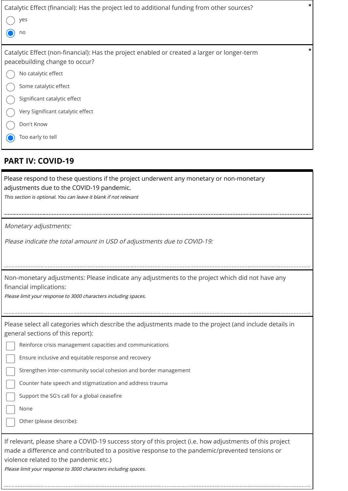| Catalytic Effect (financial): Has the project led to additional funding from other sources?                                          | $\star$ |
|--------------------------------------------------------------------------------------------------------------------------------------|---------|
| yes                                                                                                                                  |         |
| no                                                                                                                                   |         |
| Catalytic Effect (non-financial): Has the project enabled or created a larger or longer-term<br>peacebuilding change to occur?       |         |
| No catalytic effect                                                                                                                  |         |
| Some catalytic effect                                                                                                                |         |
| Significant catalytic effect                                                                                                         |         |
| Very Significant catalytic effect                                                                                                    |         |
| Don't Know                                                                                                                           |         |
| Too early to tell                                                                                                                    |         |
| <b>PART IV: COVID-19</b>                                                                                                             |         |
| Please respond to these questions if the project underwent any monetary or non-monetary<br>adjustments due to the COVID-19 pandemic. |         |

This section is optional. You can leave it blank if not relevant

Monetary adjustments:

Please indicate the total amount in USD of adjustments due to COVID-19:

Non-monetary adjustments: Please indicate any adjustments to the project which did not have any financial implications:

Please limit your response to 3000 characters including spaces.

| Please select all categories which describe the adjustments made to the project (and include details in |  |  |  |
|---------------------------------------------------------------------------------------------------------|--|--|--|
| general sections of this report):                                                                       |  |  |  |

|  | Reinforce crisis management capacities and communications |  |  |  |
|--|-----------------------------------------------------------|--|--|--|
|--|-----------------------------------------------------------|--|--|--|

Ensure inclusive and equitable response and recovery

Strengthen inter-community social cohesion and border management

Counter hate speech and stigmatization and address trauma

Support the SG's call for a global ceasefire

None

Other (please describe):

If relevant, please share a COVID-19 success story of this project (i.e. how adjustments of this project made a difference and contributed to a positive response to the pandemic/prevented tensions or violence related to the pandemic etc.)

Please limit your response to 3000 characters including spaces.